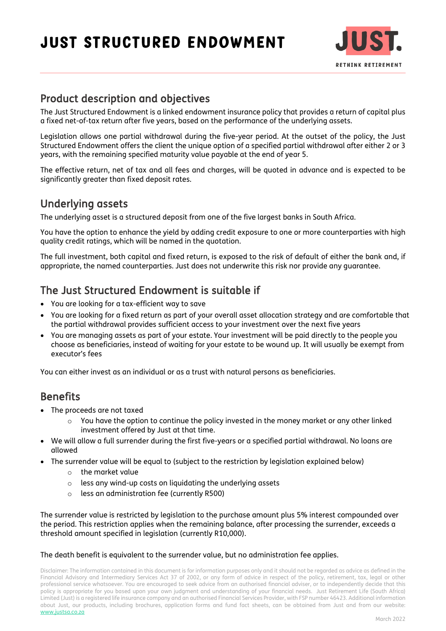# Just Structured Endowment



## Product description and objectives

The Just Structured Endowment is a linked endowment insurance policy that provides a return of capital plus a fixed net-of-tax return after five years, based on the performance of the underlying assets.

Legislation allows one partial withdrawal during the five-year period. At the outset of the policy, the Just Structured Endowment offers the client the unique option of a specified partial withdrawal after either 2 or 3 years, with the remaining specified maturity value payable at the end of year 5.

The effective return, net of tax and all fees and charges, will be quoted in advance and is expected to be significantly greater than fixed deposit rates.

### Underlying assets

The underlying asset is a structured deposit from one of the five largest banks in South Africa.

You have the option to enhance the yield by adding credit exposure to one or more counterparties with high quality credit ratings, which will be named in the quotation.

The full investment, both capital and fixed return, is exposed to the risk of default of either the bank and, if appropriate, the named counterparties. Just does not underwrite this risk nor provide any guarantee.

# The Just Structured Endowment is suitable if

- You are looking for a tax-efficient way to save
- You are looking for a fixed return as part of your overall asset allocation strategy and are comfortable that the partial withdrawal provides sufficient access to your investment over the next five years
- You are managing assets as part of your estate. Your investment will be paid directly to the people you choose as beneficiaries, instead of waiting for your estate to be wound up. It will usually be exempt from executor's fees

You can either invest as an individual or as a trust with natural persons as beneficiaries.

### Benefits

- The proceeds are not taxed
	- You have the option to continue the policy invested in the money market or any other linked investment offered by Just at that time.
- We will allow a full surrender during the first five-years or a specified partial withdrawal. No loans are allowed
- The surrender value will be equal to (subject to the restriction by legislation explained below)
	- o the market value
	- o less any wind-up costs on liquidating the underlying assets
	- less an administration fee (currently R500)

The surrender value is restricted by legislation to the purchase amount plus 5% interest compounded over the period. This restriction applies when the remaining balance, after processing the surrender, exceeds a threshold amount specified in legislation (currently R10,000).

#### The death benefit is equivalent to the surrender value, but no administration fee applies.

Disclaimer: The information contained in this document is for information purposes only and it should not be regarded as advice as defined in the Financial Advisory and Intermediary Services Act 37 of 2002, or any form of advice in respect of the policy, retirement, tax, legal or other professional service whatsoever. You are encouraged to seek advice from an authorised financial adviser, or to independently decide that this policy is appropriate for you based upon your own judgment and understanding of your financial needs. Just Retirement Life (South Africa) Limited (Just) is a registered life insurance company and an authorised Financial Services Provider, with FSP number 46423. Additional information about Just, our products, including brochures, application forms and fund fact sheets, can be obtained from Just and from our website: [www.justsa.co.za](http://www.justsa.co.za/)